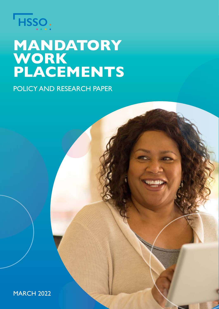

# **MANDATORY WORK PLACEMENTS**

POLICY AND RESEARCH PAPER

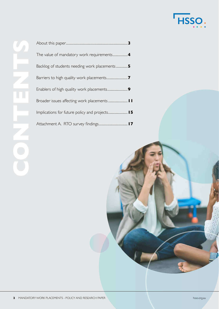

| The value of mandatory work requirements4      |
|------------------------------------------------|
| Backlog of students needing work placements5   |
|                                                |
|                                                |
|                                                |
| Implications for future policy and projects 15 |
|                                                |

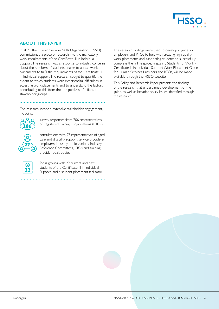

# **ABOUT THIS PAPER**

In 2021, the Human Services Skills Organisation (HSSO) commissioned a piece of research into the mandatory work requirements of the Certificate III in Individual Support. The research was a response to industry concerns about the numbers of students unable to access work placements to fulfil the requirements of the Certificate III in Individual Support. The research sought to quantify the extent to which students were experiencing difficulties in accessing work placements and to understand the factors contributing to this from the perspectives of different stakeholder groups.

The research involved extensive stakeholder engagement, including:



survey responses from 206 representatives of Registered Training Organisations (RTOs)



consultations with 27 representatives of aged care and disability support service providers/ employers, industry bodies, unions, Industry Reference Committees, RTOs and training provider peak bodies



focus groups with 22 current and past students of the Certificate III in Individual Support and a student placement facilitator. The research findings were used to develop a guide for employers and RTOs to help with creating high quality work placements and supporting students to successfully complete them. The guide, Preparing Students for Work - Certificate III in Individual Support Work Placement Guide for Human Services Providers and RTOs, will be made available through the HSSO website.

This Policy and Research Paper presents the findings of the research that underpinned development of the guide, as well as broader policy issues identified through the research.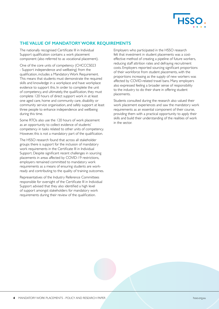

# **THE VALUE OF MANDATORY WORK REQUIREMENTS**

The nationally recognised Certificate III in Individual Support qualification contains a work placement component (also referred to as vocational placement).

One of the core units of competency (CHCCCS023 - Support independence and wellbeing) from the qualification, includes a Mandatory Work Requirement. This means that students must demonstrate the required skills and knowledge in a workplace and have workplace evidence to support this. In order to complete the unit of competency, and ultimately, the qualification, they must complete 120 hours of direct support work in at least one aged care, home and community care, disability or community service organisation, and safely support at least three people to enhance independence and wellbeing during this time.

Some RTOs also use the 120 hours of work placement as an opportunity to collect evidence of students' competency in tasks related to other units of competency. However, this is not a mandatory part of the qualification.

The HSSO research found that across all stakeholder groups there is support for the inclusion of mandatory work requirements in the Certificate III in Individual Support. Despite significant recent challenges in sourcing placements in areas affected by COVID-19 restrictions, employers remained committed to mandatory work requirements as a means of ensuring students are workready and contributing to the quality of training outcomes.

Representatives of the Industry Reference Committees responsible for oversight of the Certificate III in Individual Support advised that they also identified a high level of support amongst stakeholders for mandatory work requirements during their review of the qualification.

Employers who participated in the HSSO research felt that investment in student placements was a costeffective method of creating a pipeline of future workers, reducing staff attrition rates and defraying recruitment costs. Employers reported sourcing significant proportions of their workforce from student placements, with the proportions increasing as the supply of new workers was affected by COVID-related travel bans. Many employers also expressed feeling a broader sense of responsibility to the industry to do their share in offering student placements.

Students consulted during the research also valued their work placement experiences and saw the mandatory work requirements as an essential component of their course, providing them with a practical opportunity to apply their skills and build their understanding of the realities of work in the sector.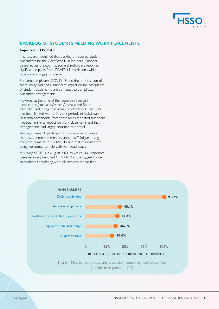

# **BACKLOG OF STUDENTS NEEDING WORK PLACEMENTS**

# **Impacts of COVID-19**

The research identified that backlog of required student placements for the Certificate III in Individual Support varied across the country. Some stakeholders reported significant impacts from COVID-19 restrictions, while others were largely unaffected.

For some employers, COVID-19 and the prioritisation of client safety had had a significant impact on the acceptance of student placements and continues to complicate placement arrangements.

However, at the time of the research, in certain jurisdictions (such as Western Australia and South Australia) and in regional areas, the effects of COVID-19 had been limited, with only short periods of lockdown. Research participants from these areas reported that there had been minimal impact on work placements and that arrangements had largely returned to normal.

Amongst research participants in more affected areas, there was some commentary about staff fatigue arising from the demands of COVID-19 and that students were being welcomed to help with workload issues.

A survey of RTOs in August 2021, to which 206 responses were received, identified COVID-19 as the biggest barrier to students completing work placements at that time.

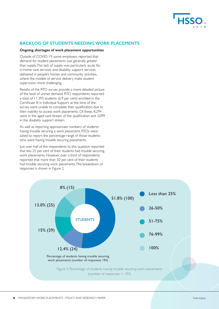

# **BACKLOG OF STUDENTS NEEDING WORK PLACEMENTS**

# **Ongoing shortages of work placement opportunities**

Outside of COVID-19, some employers reported that demand for student placements was generally greater than supply. This lack of supply was particularly acute for in-home care services and disability support services delivered in people's homes and community activities, where the models of service delivery make student supervision more challenging.

Results of the RTO survey provide a more detailed picture of the level of unmet demand. RTO respondents reported a total of 11,393 students (6.9 per cent) enrolled in the Certificate III in Individual Support at the time of the survey were unable to complete their qualification due to their inability to access work placements. Of these, 8,294 were in the aged care stream of the qualification and 3,099 in the disability support stream.

As well as reporting approximate numbers of students having trouble securing a work placement, RTOs were asked to report the percentage range of those students who were having trouble securing placements.

Just over half of the respondents to this question reported that less 25 per cent of their students had trouble securing work placements. However, over a third of respondents reported that more than 50 per cent of their students had trouble securing work placements. The breakdown of responses is shown in Figure 2.

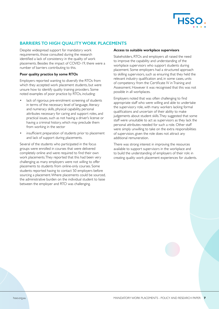

# **BARRIERS TO HIGH QUALITY WORK PLACEMENTS**

Despite widespread support for mandatory work requirements, those consulted during the research identified a lack of consistency in the quality of work placements. Besides the impact of COVID-19, there were a number of barriers contributing to this.

# **Poor quality practice by some RTOs**

Employers reported wanting to diversify the RTOs from which they accepted work placement students, but were unsure how to identify quality training providers. Some noted examples of poor practice by RTOs, including:

- lack of rigorous pre-enrolment screening of students in terms of the necessary level of language, literacy and numeracy skills, physical capability, personal attributes necessary for caring and support roles, and practical issues, such as not having a driver's license or having a criminal history, which may preclude them from working in the sector
- insufficient preparation of students prior to placement and lack of support during placements.

Several of the students who participated in the focus groups were enrolled in courses that were delivered completely online and were required to find their own work placements. They reported that this had been very challenging as many employers were not willing to offer placements to students from online-only courses. Some students reported having to contact 50 employers before sourcing a placement. Where placements could be sourced, the administrative burden on the individual student to liaise between the employer and RTO was challenging.

## **Access to suitable workplace supervisors**

Stakeholders, RTOs and employers all raised the need to improve the capability and understanding of the workplace supervisors who support students during placement. Some employers had a structured approach to skilling supervisors, such as ensuring that they held the relevant industry qualification and, in some cases, units of competency from the Certificate IV in Training and Assessment. However it was recognised that this was not possible in all workplaces.

Employers noted that was often challenging to find appropriate staff who were willing and able to undertake the supervisory role, with many workers lacking formal qualifications and uncertain of their ability to make judgements about student skills. They suggested that some staff were unsuitable to act as supervisors as they lack the personal attributes needed for such a role. Other staff were simply unwilling to take on the extra responsibilities of supervision, given the role does not attract any additional remuneration.

There was strong interest in improving the resources available to support supervisors in the workplace and to build the understanding of employers of their role in creating quality work placement experiences for students.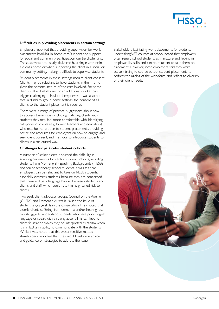

# **Difficulties in providing placements in certain settings**

Employers reported that providing supervision for work placements involving in-home care/support and support for social and community participation can be challenging. These services are usually delivered by a single worker in a client's home or when supporting the client in a social or community setting, making it difficult to supervise students.

Student placements in these settings require client consent. Clients may be reluctant to have students in their home given the personal nature of the care involved. For some clients in the disability sector, an additional worker can trigger challenging behavioural responses. It was also noted that in disability group home settings, the consent of all clients to the student placement is required.

There were a range of practical suggestions about how to address these issues, including matching clients with students they may feel more comfortable with, identifying categories of clients (e.g. former teachers and educators) who may be more open to student placements, providing advice and resources for employers on how to engage and seek client consent, and methods to introduce students to clients in a structured way.

#### **Challenges for particular student cohorts**

A number of stakeholders discussed the difficulty in sourcing placements for certain student cohorts, including students from Non-English-Speaking Backgrounds (NESB) and senior secondary school students. It was felt that employers can be reluctant to take on NESB students, especially overseas students, because they are concerned that there will be a language barrier between students and clients and staff, which could result in heightened risk to clients.

Two peak client advocacy groups, Council on the Ageing (COTA) and Dementia Australia, raised the issue of student language skills in the consultation. They noted that elderly clients suffering from dementia and/or hearing loss can struggle to understand students who have poor English language or speak with a strong accent. This can lead to client frustration which may be interpreted as racism when it is in fact an inability to communicate with the students. While it was noted that this was a sensitive matter, stakeholders reported that they would welcome advice and guidance on strategies to address the issue.

Stakeholders facilitating work placements for students undertaking VET courses at school noted that employers often regard school students as immature and lacking in employability skills and can be reluctant to take them on placement. However, some employers said they were actively trying to source school student placements to address the ageing of the workforce and reflect to diversity of their client needs.

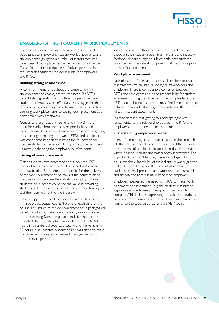

# **ENABLERS OF HIGH QUALITY WORK PLACEMENTS**

The research identified many areas and examples of good practice in providing student work placements, and stakeholders highlighted a number of factors that lead to successful work placement experiences for all parties. These factors formed the basis of advice provided in the Preparing Students for Work guide for employers and RTOs.

# **Building strong relationships**

A common theme throughout the consultation with stakeholders and employers was the need for RTOs to build strong relationships with employers to ensure student placements were effective. It was suggested that RTOs need to move beyond a 'transactional' approach to sourcing work placements to seeing work placement as a partnership with employers.

Central to these relationships functioning well is the need for clarity about the roles, responsibilities and expectations of each party. Making an investment in getting these arrangements right between RTOs and employers was considered important in laying the foundation for positive student experiences during work placements and ultimately enhancing the employability of students.

# **Timing of work placements**

Differing views were expressed about how the 120 hours of work placement should be scheduled across the qualification. Some employers prefer for the delivery of the work placement to be toward the completion of the course to maximise their ability to employ suitable students, while others could see the value in providing students with exposure to the job early in their training to test their commitment to the industry.

Others supported the delivery of the work placements in three blocks sequenced at the end of each third of the course. This structure of work placement has a pedagogical benefit of allowing the student to learn, apply and reflect on their training. Some employers and stakeholders also reported that they structure work placements into 90 hours in a residential aged care setting and the remaining 30 hours in an in-home placement. This was done to make the placement more attractive and manageable for inhome service provision.

While these are matters for each RTOs to determine based on their student needs, training plans and industry feedback, all parties agreed it is essential that students cover certain theoretical components of the course prior to their first placement.

# **Workplace assessment**

Lack of clarity of roles and responsibilities for workplace assessments was an issue raised by all stakeholders and employers. There is considerable confusion between RTOs and employers about the responsibility for student assessment during the placement. The complexity of the VET system also needs to be demystified for employers to enhance their understanding of their role and the role of RTOs in student assessment.

Stakeholders felt that getting this concept right was fundamental to the relationship between the RTO and employer and to the experience students.

# **Understanding employers' needs**

Many of the employers who participated in the research felt that RTOs needed to better understand the business environment of employers (especially in disability services) where financial viability and staff capacity is stretched. The impact of COVID-19 has heightened employers' focus on risk, given the vulnerability of their clients. It was suggested that RTOs should explain the value of placements, ensure students are well-prepared and work ready, and streamline and simplify the administrative impost on employers.

Employers expressed the need for RTOs to make work placement documentation (e.g. the student assessment logbooks) simple to use and easy for supervisors to complete. This includes expressing the tasks that students are required to complete in the workplace in terminology familiar to the supervisor, rather than 'VET' speak.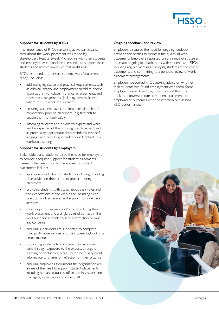

# **Support for students by RTOs**

The importance of RTOs remaining active participants throughout the work placement was raised by stakeholders. Regular (weekly) check-ins with their students and employers were considered essential to support their students and resolve any issues that might arise.

RTOs also needed to ensure students were 'placement ready', including:

- addressing legislative and practical requirements, such as criminal history and employment suitability checks, vaccinations, workplace insurance arrangements, and transport arrangements (including driver's license where this is a work requirement)
- ensuring students have completed certain units of competency prior to placement (e.g. first aid) to enable them to work safely
- informing students about what to expect and what will be expected of them during the placement, such as punctuality, appropriate dress standards, respectful language, and how to give and receive feedback in a workplace setting.

# **Support for students by employers**

Stakeholders and students raised the need for employers to provide adequate support for student placements. Elements that are critical to the success of student placements include:

- appropriate induction for students, including providing clear advice on their scope of practice during placement
- providing students with clarity about their roles and the expectations of the workplace, including clear practical work schedules and support to undertake activities
- continuity of supervisor and/or buddy during their work placement and a single point of contact in the workplace for students to seek information or raise any concerns
- ensuring supervisors are supported to complete third party observations and the student logbook in a timely manner
- supporting students to complete their assessment tasks through exposure to the expected range of learning opportunities, access to the necessary client information and time for reflection on their practice
- ensuring employees throughout the organisation are aware of the need to support student placements, including human resources, office administrators, line managers, supervisors and other staff.

#### **Ongoing feedback and review**

Employers discussed the need for ongoing feedback between the parties to maintain the quality of work placements. Employers reported using a range of strategies to create ongoing feedback loops with students and RTOs, including regular meetings, surveying students at the end of placements and committing to a periodic review of work placement arrangements.

Employers welcomed RTOs seeking advice on whether their students had found employment with them. Some employers were developing tools to assist them to track the conversion rates of student placements to employment outcomes with the intention of assessing RTO performance.

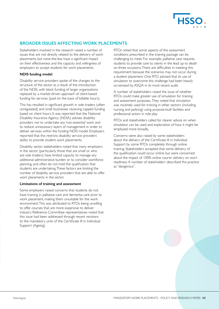

# **BROADER ISSUES AFFECTING WORK PLACEMENTS**

Stakeholders involved in the research raised a number of issues that are not directly related to the delivery of work placements, but none-the-less have a significant impact on their effectiveness and the capacity and willingness of employers to accept students for work placements.

# **NDIS funding model**

Disability service providers spoke of the changes to the structure of the sector as a result of the introduction of the NDIS, with block funding of larger organisations replaced by a market-driven approach of client-based funding for services (paid on the basis of billable hours).

This has resulted in significant growth in sole traders (often unregulated) and small businesses receiving capped funding based on client hours. It was reported that the National Disability Insurance Agency (NDIA) advises disability providers not to undertake any 'non-essential' work and to reduce unnecessary layers of management in order to deliver services within the funding NDIS model. Employers reported that this restricts disability service providers' ability to provide student work placements.

Disability sector stakeholders noted that many employers in the sector (particularly those that are small or who are sole traders) have limited capacity to manage any additional administrative burden or to consider workforce planning, and often do not hold the qualification that students are undertaking. These factors are limiting the number of disability service providers that are able to offer work placements in the sector.

## **Limitations of training and assessment**

Some employers raised concerns that students do not have training in palliative care and dementia care prior to work placement, making them unsuitable for the work environment. This was attributed to RTOs being unwilling to offer courses that are more expensive to deliver. Industry Reference Committee representatives noted that this issue had been addressed through recent revisions to the mandatory units of the Certificate III in Individual Support (Ageing).

RTOs noted that some aspects of the assessment conditions prescribed in the training package can be challenging to meet. For example, palliative care requires students to provide care to clients in the lead up to death on three occasions. There are difficulties in meeting this requirement because the scenarios may not occur during a student placement. One RTO advised that its use of simulation to overcome this challenge had been heavily scrutinised by ASQA in its most recent audit.

A number of stakeholders raised the issue of whether RTOs could make greater use of simulation for training and assessment purposes,. They noted that simulation was routinely used for training in other sectors (including nursing and policing) using purpose-built facilities and professional actors in role play.

RTOs and stakeholders called for clearer advice on when simulation can be used and exploration of how it might be employed more broadly.

Concerns were also raised by some stakeholders about the delivery of the Certificate III in Individual Support by some RTOs completely through online training. Stakeholders accepted that some delivery of the qualification could occur online but were concerned about the impact of 100% online course delivery on work readiness. A number of stakeholders described this practice as "dangerous".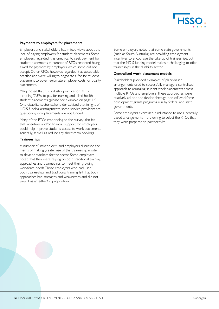

## **Payments to employers for placements**

Employers and stakeholders had mixed views about the idea of paying employers for student placements. Some employers regarded it as unethical to seek payment for student placements. A number of RTOs reported being asked for payment by employers, which some did not accept. Other RTOs, however, regarded it as acceptable practice and were willing to negotiate a fee for student placement to cover legitimate employer costs for quality placements.

Many noted that it is industry practice for RTOs, including TAFEs, to pay for nursing and allied health student placements (please see example on page 14). One disability sector stakeholder advised that in light of NDIS funding arrangements, some service providers are questioning why placements are not funded.

Many of the RTOs responding to the survey also felt that incentives and/or financial support for employers could help improve students' access to work placements generally, as well as reduce any short-term backlogs.

# **Traineeships**

A number of stakeholders and employers discussed the merits of making greater use of the traineeship model to develop workers for the sector. Some employers noted that they were relying on both traditional training approaches and traineeships to meet their growing workforce needs. Those employers who had used both traineeships and traditional training felt that both approaches had strengths and weaknesses and did not view it as an either/or proposition.

Some employers noted that some state governments (such as South Australia) are providing employment incentives to encourage the take up of traineeships, but that the NDIS funding model makes it challenging to offer traineeships in the disability sector.

#### **Centralised work placement models**

Stakeholders provided examples of place-based arrangements used to successfully manage a centralised approach to arranging student work placements across multiple RTOs and employers. These approaches were relatively ad hoc and funded through one-off workforce development grants programs run by federal and state governments.

Some employers expressed a reluctance to use a centrally based arrangements – preferring to select the RTOs that they were prepared to partner with.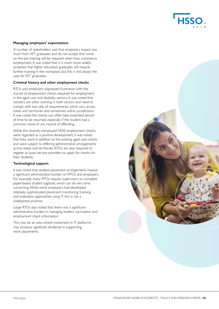

#### **Managing employers' expectations**

A number of stakeholders said that employers expect too much from VET graduates and do not accept that some on-the-job training will be required when they commence employment. It was noted that it is much more widely accepted that higher education graduates will require further training in the workplace, but this is not always the case for VET graduates.

## **Criminal history and other employment checks**

RTOs and employers expressed frustration with the myriad of employment checks required for employment in the aged care and disability sectors. It was noted that workers are often working in both sectors and need to comply with two sets of requirements, which vary across states and territories and sometimes within jurisdictions. It was noted the checks can often take extended period of time to be returned, especially if the student had a common name or any record of offending.

While the recently introduced NDIS employment checks were regarded as a positive development, it was noted that they were in addition to the existing aged care checks and were subject to differing administrative arrangements across states and territories. RTOs are also required to register as quasi-service providers to apply for checks for their students.

# **Technological support**

It was noted that student placement arrangements impose a significant administrative burden on RTOs and employers. For example, many RTOs require supervisors to complete paper-based student logbook, which can be very time consuming. While some employers had developed relatively sophisticated placement monitoring, tracking and evaluation approaches using IT, this is not a widespread practice.

Large RTOs also noted that there was a significant administrative burden in managing student vaccination and employment check information.

This may be an area where investment in IT platforms may produce significant dividends in supporting work placements.

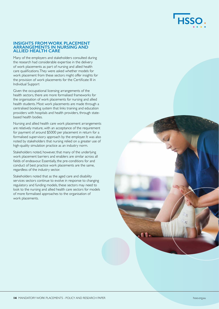

### **INSIGHTS FROM WORK PLACEMENT ARRANGEMENTS IN NURSING AND ALLIED HEALTH CARE**

Many of the employers and stakeholders consulted during the research had considerable expertise in the delivery of work placements as part of nursing and allied health care qualifications. They were asked whether models for work placement from these sectors might offer insights for the provision of work placements for the Certificate III in Individual Support

Given the occupational licensing arrangements of the health sectors, there are more formalised frameworks for the organisation of work placements for nursing and allied health students. Most work placements are made through a centralised booking system that links training and education providers with hospitals and health providers, through statebased health bodies.

Nursing and allied health care work placement arrangements are relatively mature, with an acceptance of the requirement for payment of around \$5000 per placement in return for a formalised supervisory approach by the employer. It was also noted by stakeholders that nursing relied on a greater use of high-quality simulation practice as an industry norm.

Stakeholders noted, however, that many of the underlying work placement barriers and enablers are similar across all fields of endeavour. Essentially, the pre-conditions for and conduct of best practice work placements are the same, regardless of the industry sector.

Stakeholders noted that as the aged care and disability services sectors continue to evolve in response to changing regulatory and funding models, these sectors may need to look to the nursing and allied health care sectors for models of more formalised approaches to the organisation of work placements.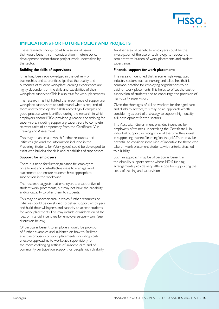

# **IMPLICATIONS FOR FUTURE POLICY AND PROJECTS**

These research findings point to a series of issues that would benefit from consideration in future policy development and/or future project work undertaken by the sector.

#### **Building the skills of supervisors**

It has long been acknowledged in the delivery of traineeships and apprenticeships that the quality and outcomes of student workplace learning experiences are highly dependent on the skills and capabilities of their workplace supervisor. This is also true for work placements.

The research has highlighted the importance of supporting workplace supervisors to understand what is required of them and to develop their skills accordingly. Examples of good practice were identified during the research in which employers and/or RTOs provided guidance and training for supervisors, including supporting supervisors to complete relevant units of competency from the Certificate IV in Training and Assessment.

This may be an area in which further resources and initiatives (beyond the information included in the Preparing Students for Work guide) could be developed to assist with building the skills and capabilities of supervisors.

#### **Support for employers**

There is a need for further guidance for employers on efficient and cost-effective ways to manage work placements and ensure students have appropriate supervision in the workplace.

The research suggests that employers are supportive of student work placements, but may not have the capability and/or capacity to offer them to students.

This may be another area in which further resources or initiatives could be developed to better support employers and build their willingness and capacity to accept students for work placements. This may include consideration of the idea of financial incentives for employers/supervisors (see discussion below).

Of particular benefit to employers would be provision of further examples and guidance on how to facilitate effective provision of work placements (including costeffective approaches to workplace supervision) for the more challenging settings of in-home care and of community participation support for people with disability. Another area of benefit to employers could be the investigation of the use of technology to reduce the administrative burden of work placements and student supervision.

## **Financial support for work placements**

The research identified that in some highly-regulated industry sectors, such as nursing and allied health, it is common practice for employing organisations to be paid for work placements. This helps to offset the cost of supervision of students and to encourage the provision of high-quality supervision.

Given the shortages of skilled workers for the aged care and disability sectors, this may be an approach worth considering as part of a strategy to support high quality skill development for the sectors.

The Australian Government provides incentives for employers of trainees undertaking the Certificate III in Individual Support, in recognition of the time they invest in supporting trainees' learning 'on-the-job'. There may be potential to consider some kind of incentive for those who take on work placement students, with criteria attached to eligibility.

Such an approach may be of particular benefit in the disability support sector where NDIS funding arrangements provide very little scope for supporting the costs of training and supervision.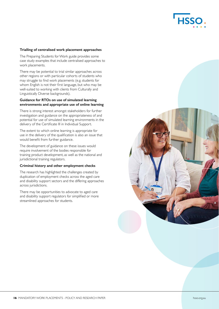

# **Trialling of centralised work placement approaches**

The Preparing Students for Work guide provides some case study examples that include centralised approaches to work placements.

There may be potential to trial similar approaches across other regions or with particular cohorts of students who may struggle to find work placements (e.g. students for whom English is not their first language, but who may be well-suited to working with clients from Culturally and Linguistically Diverse backgrounds).

# **Guidance for RTOs on use of simulated learning environments and appropriate use of online learning**

There is strong interest amongst stakeholders for further investigation and guidance on the appropriateness of and potential for use of simulated learning environments in the delivery of the Certificate III in Individual Support.

The extent to which online learning is appropriate for use in the delivery of the qualification is also an issue that would benefit from further guidance.

The development of guidance on these issues would require involvement of the bodies responsible for training product development, as well as the national and jurisdictional training regulators.

#### **Criminal history and other employment checks**

The research has highlighted the challenges created by duplication of employment checks across the aged care and disability support sectors and the differing approaches across jurisdictions.

There may be opportunities to advocate to aged care and disability support regulators for simplified or more streamlined approaches for students.

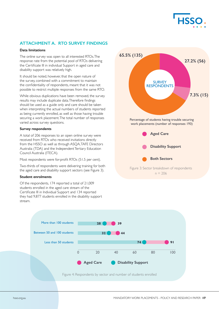

# **ATTACHMENT A. RTO SURVEY FINDINGS**

# **Data limitations**

The online survey was open to all interested RTOs. The response rate from the potential pool of RTOs delivering the Certificate III in individual Support in aged care and disability support was relatively high.

It should be noted, however, that the open nature of the survey, combined with a commitment to maintain the confidentiality of respondents, meant that it was not possible to restrict multiple responses from the same RTO.

While obvious duplications have been removed, the survey results may include duplicate data. Therefore findings should be used as a guide only and care should be taken when interpreting the actual numbers of students reported as being currently enrolled, as well as those having trouble securing a work placement. The total number of responses varied across survey questions. **65.5% (135)**

## **Survey respondents**

A total of 206 responses to an open online survey were received from RTOs who received invitations directly from the HSSO as well as through ASQA,TAFE Directors Australia (TDA) and the Independent Tertiary Education Council Australia (ITECA).

# Most respondents were for-profit RTOs (51.5 per cent).

Two-thirds of respondents were delivering training for both the aged care and disability support sectors (see Figure 3).

# **Student enrolments**

Of the respondents, 174 reported a total of 21,009 students enrolled in the aged care stream of the Certificate III in Individual Support and 134 reported they had 9,877 students enrolled in the disability support stream.



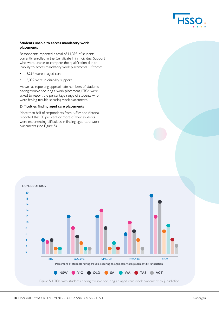

# **Students unable to access mandatory work placements**

Respondents reported a total of 11,393 of students currently enrolled in the Certificate III in Individual Support who were unable to compete the qualification due to inability to access mandatory work placements. Of these:

- 8,294 were in aged care
- 3,099 were in disability support.

As well as reporting approximate numbers of students having trouble securing a work placement, RTOs were asked to report the percentage range of students who were having trouble securing work placements.

# **Difficulties finding aged care placements**

More than half of respondents from NSW and Victoria reported that 50 per cent or more of their students were experiencing difficulties in finding aged care work placements (see Figure 5).



# NUMBER OF RTOS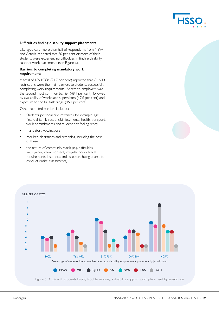## **Difficulties finding disability support placements**

Like aged care, more than half of respondents from NSW and Victoria reported that 50 per cent or more of their students were experiencing difficulties in finding disability support work placements (see Figure 6).

# **Barriers to completing mandatory work requirements**

A total of 189 RTOs (91.7 per cent) reported that COVID restrictions were the main barriers to students successfully completing work requirements. Access to employers was the second most common barrier (48.1 per cent), followed by availability of workplace supervisors (47.6 per cent) and exposure to the full task range (46.1 per cent).

Other reported barriers included:

- Students' personal circumstances, for example, age, financial, family responsibilities, mental health, transport, work commitments and student not feeling ready
- mandatory vaccinations
- required clearances and screening, including the cost of these
- the nature of community work (e.g. difficulties with gaining client consent, irregular hours, travel requirements, insurance and assessors being unable to conduct onsite assessments).



Figure 6: RTOs with students having trouble securing a disability support work placement by jurisdiction